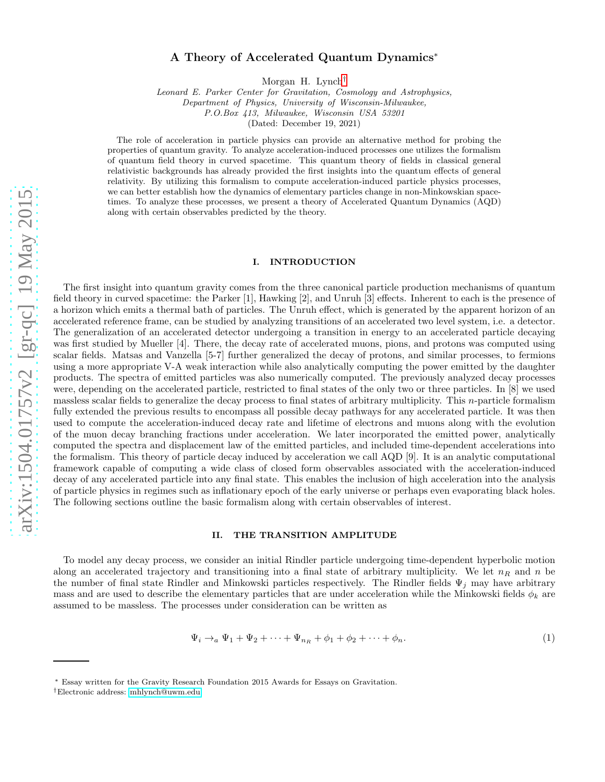# A Theory of Accelerated Quantum Dynamics<sup>∗</sup>

Morgan H. Lynch[†](#page-0-0)

Leonard E. Parker Center for Gravitation, Cosmology and Astrophysics, Department of Physics, University of Wisconsin-Milwaukee,

P.O.Box 413, Milwaukee, Wisconsin USA 53201

(Dated: December 19, 2021)

The role of acceleration in particle physics can provide an alternative method for probing the properties of quantum gravity. To analyze acceleration-induced processes one utilizes the formalism of quantum field theory in curved spacetime. This quantum theory of fields in classical general relativistic backgrounds has already provided the first insights into the quantum effects of general relativity. By utilizing this formalism to compute acceleration-induced particle physics processes, we can better establish how the dynamics of elementary particles change in non-Minkowskian spacetimes. To analyze these processes, we present a theory of Accelerated Quantum Dynamics (AQD) along with certain observables predicted by the theory.

#### I. INTRODUCTION

The first insight into quantum gravity comes from the three canonical particle production mechanisms of quantum field theory in curved spacetime: the Parker [1], Hawking [2], and Unruh [3] effects. Inherent to each is the presence of a horizon which emits a thermal bath of particles. The Unruh effect, which is generated by the apparent horizon of an accelerated reference frame, can be studied by analyzing transitions of an accelerated two level system, i.e. a detector. The generalization of an accelerated detector undergoing a transition in energy to an accelerated particle decaying was first studied by Mueller [4]. There, the decay rate of accelerated muons, pions, and protons was computed using scalar fields. Matsas and Vanzella [5-7] further generalized the decay of protons, and similar processes, to fermions using a more appropriate V-A weak interaction while also analytically computing the power emitted by the daughter products. The spectra of emitted particles was also numerically computed. The previously analyzed decay processes were, depending on the accelerated particle, restricted to final states of the only two or three particles. In [8] we used massless scalar fields to generalize the decay process to final states of arbitrary multiplicity. This n-particle formalism fully extended the previous results to encompass all possible decay pathways for any accelerated particle. It was then used to compute the acceleration-induced decay rate and lifetime of electrons and muons along with the evolution of the muon decay branching fractions under acceleration. We later incorporated the emitted power, analytically computed the spectra and displacement law of the emitted particles, and included time-dependent accelerations into the formalism. This theory of particle decay induced by acceleration we call AQD [9]. It is an analytic computational framework capable of computing a wide class of closed form observables associated with the acceleration-induced decay of any accelerated particle into any final state. This enables the inclusion of high acceleration into the analysis of particle physics in regimes such as inflationary epoch of the early universe or perhaps even evaporating black holes. The following sections outline the basic formalism along with certain observables of interest.

# II. THE TRANSITION AMPLITUDE

To model any decay process, we consider an initial Rindler particle undergoing time-dependent hyperbolic motion along an accelerated trajectory and transitioning into a final state of arbitrary multiplicity. We let  $n_R$  and n be the number of final state Rindler and Minkowski particles respectively. The Rindler fields  $\Psi_i$  may have arbitrary mass and are used to describe the elementary particles that are under acceleration while the Minkowski fields  $\phi_k$  are assumed to be massless. The processes under consideration can be written as

$$
\Psi_i \to_a \Psi_1 + \Psi_2 + \dots + \Psi_{n_R} + \phi_1 + \phi_2 + \dots + \phi_n. \tag{1}
$$

<sup>∗</sup> Essay written for the Gravity Research Foundation 2015 Awards for Essays on Gravitation.

<span id="page-0-0"></span><sup>†</sup>Electronic address: [mhlynch@uwm.edu](mailto:mhlynch@uwm.edu)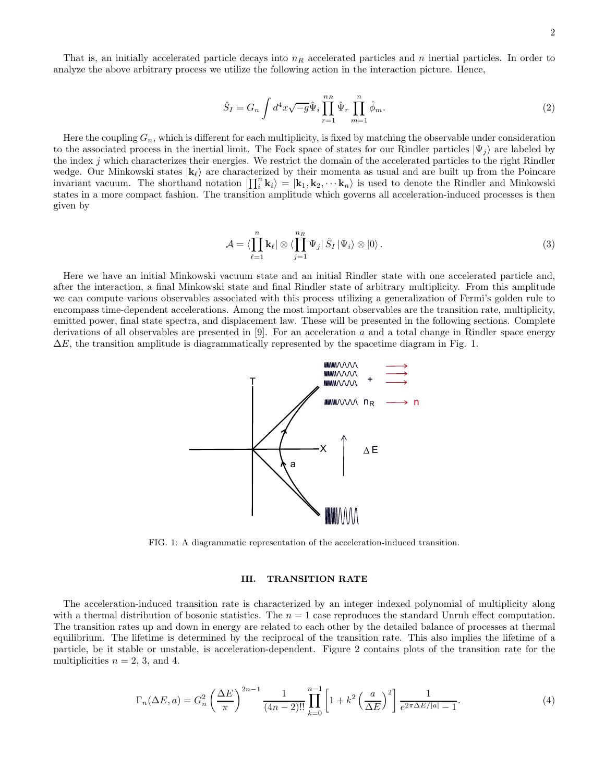That is, an initially accelerated particle decays into  $n_R$  accelerated particles and n inertial particles. In order to analyze the above arbitrary process we utilize the following action in the interaction picture. Hence,

$$
\hat{S}_I = G_n \int d^4x \sqrt{-g} \hat{\Psi}_i \prod_{r=1}^{n_R} \hat{\Psi}_r \prod_{m=1}^n \hat{\phi}_m.
$$
\n(2)

Here the coupling  $G_n$ , which is different for each multiplicity, is fixed by matching the observable under consideration to the associated process in the inertial limit. The Fock space of states for our Rindler particles  $|\Psi_j\rangle$  are labeled by the index j which characterizes their energies. We restrict the domain of the accelerated particles to the right Rindler wedge. Our Minkowski states  $|\mathbf{k}_{\ell}\rangle$  are characterized by their momenta as usual and are built up from the Poincare invariant vacuum. The shorthand notation  $\left|\prod_{i=1}^{n} k_{i}\right\rangle = |k_{1}, k_{2}, \cdots k_{n}\rangle$  is used to denote the Rindler and Minkowski states in a more compact fashion. The transition amplitude which governs all acceleration-induced processes is then given by

$$
\mathcal{A} = \langle \prod_{\ell=1}^n \mathbf{k}_{\ell} | \otimes \langle \prod_{j=1}^{n_R} \Psi_j | \hat{S}_I | \Psi_i \rangle \otimes | 0 \rangle . \tag{3}
$$

Here we have an initial Minkowski vacuum state and an initial Rindler state with one accelerated particle and, after the interaction, a final Minkowski state and final Rindler state of arbitrary multiplicity. From this amplitude we can compute various observables associated with this process utilizing a generalization of Fermi's golden rule to encompass time-dependent accelerations. Among the most important observables are the transition rate, multiplicity, emitted power, final state spectra, and displacement law. These will be presented in the following sections. Complete derivations of all observables are presented in [9]. For an acceleration a and a total change in Rindler space energy  $\Delta E$ , the transition amplitude is diagrammatically represented by the spacetime diagram in Fig. 1.



FIG. 1: A diagrammatic representation of the acceleration-induced transition.

### III. TRANSITION RATE

The acceleration-induced transition rate is characterized by an integer indexed polynomial of multiplicity along with a thermal distribution of bosonic statistics. The  $n = 1$  case reproduces the standard Unruh effect computation. The transition rates up and down in energy are related to each other by the detailed balance of processes at thermal equilibrium. The lifetime is determined by the reciprocal of the transition rate. This also implies the lifetime of a particle, be it stable or unstable, is acceleration-dependent. Figure 2 contains plots of the transition rate for the multiplicities  $n = 2, 3$ , and 4.

$$
\Gamma_n(\Delta E, a) = G_n^2 \left(\frac{\Delta E}{\pi}\right)^{2n-1} \frac{1}{(4n-2)!!} \prod_{k=0}^{n-1} \left[1 + k^2 \left(\frac{a}{\Delta E}\right)^2\right] \frac{1}{e^{2\pi \Delta E/|a|} - 1}.
$$
 (4)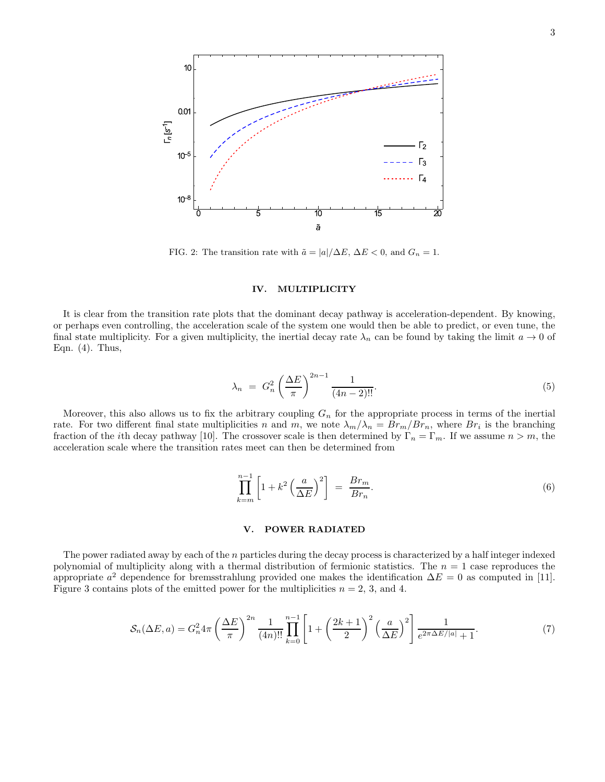

FIG. 2: The transition rate with  $\tilde{a} = |a|/\Delta E$ ,  $\Delta E < 0$ , and  $G_n = 1$ .

# IV. MULTIPLICITY

It is clear from the transition rate plots that the dominant decay pathway is acceleration-dependent. By knowing, or perhaps even controlling, the acceleration scale of the system one would then be able to predict, or even tune, the final state multiplicity. For a given multiplicity, the inertial decay rate  $\lambda_n$  can be found by taking the limit  $a \to 0$  of Eqn. (4). Thus,

$$
\lambda_n = G_n^2 \left(\frac{\Delta E}{\pi}\right)^{2n-1} \frac{1}{(4n-2)!!}.
$$
\n(5)

Moreover, this also allows us to fix the arbitrary coupling  $G_n$  for the appropriate process in terms of the inertial rate. For two different final state multiplicities n and m, we note  $\lambda_m/\lambda_n = Br_m/Br_n$ , where  $Br_i$  is the branching fraction of the *i*th decay pathway [10]. The crossover scale is then determined by  $\Gamma_n = \Gamma_m$ . If we assume  $n > m$ , the acceleration scale where the transition rates meet can then be determined from

$$
\prod_{k=m}^{n-1} \left[ 1 + k^2 \left( \frac{a}{\Delta E} \right)^2 \right] = \frac{Br_m}{Br_n}.
$$
\n
$$
(6)
$$

## V. POWER RADIATED

The power radiated away by each of the n particles during the decay process is characterized by a half integer indexed polynomial of multiplicity along with a thermal distribution of fermionic statistics. The  $n = 1$  case reproduces the appropriate  $a^2$  dependence for bremsstrahlung provided one makes the identification  $\Delta E = 0$  as computed in [11]. Figure 3 contains plots of the emitted power for the multiplicities  $n = 2, 3,$  and 4.

$$
S_n(\Delta E, a) = G_n^2 4\pi \left(\frac{\Delta E}{\pi}\right)^{2n} \frac{1}{(4n)!!} \prod_{k=0}^{n-1} \left[1 + \left(\frac{2k+1}{2}\right)^2 \left(\frac{a}{\Delta E}\right)^2\right] \frac{1}{e^{2\pi \Delta E/|a|} + 1}.
$$
 (7)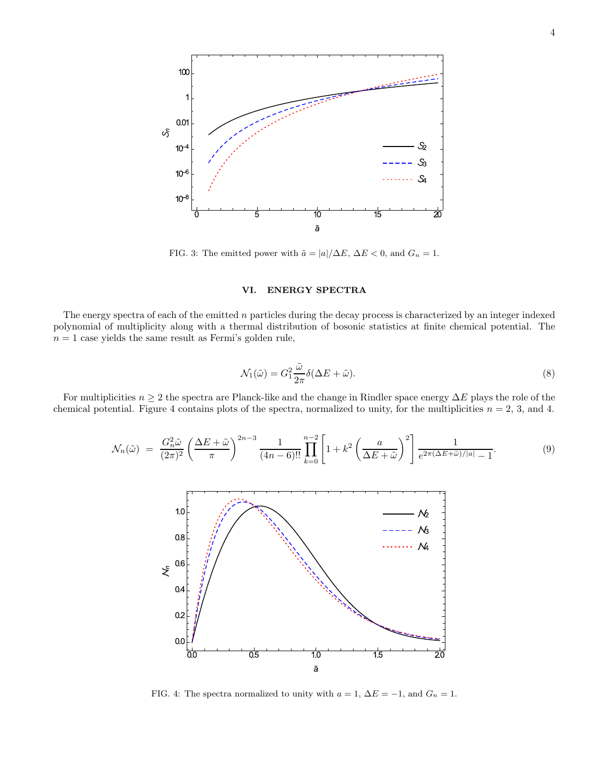

FIG. 3: The emitted power with  $\tilde{a} = |a|/\Delta E$ ,  $\Delta E < 0$ , and  $G_n = 1$ .

# VI. ENERGY SPECTRA

The energy spectra of each of the emitted  $n$  particles during the decay process is characterized by an integer indexed polynomial of multiplicity along with a thermal distribution of bosonic statistics at finite chemical potential. The  $n = 1$  case yields the same result as Fermi's golden rule,

$$
\mathcal{N}_1(\tilde{\omega}) = G_1^2 \frac{\tilde{\omega}}{2\pi} \delta(\Delta E + \tilde{\omega}).
$$
\n(8)

For multiplicities  $n \geq 2$  the spectra are Planck-like and the change in Rindler space energy  $\Delta E$  plays the role of the chemical potential. Figure 4 contains plots of the spectra, normalized to unity, for the multiplicities  $n = 2, 3$ , and 4.

$$
\mathcal{N}_n(\tilde{\omega}) = \frac{G_n^2 \tilde{\omega}}{(2\pi)^2} \left(\frac{\Delta E + \tilde{\omega}}{\pi}\right)^{2n-3} \frac{1}{(4n-6)!!} \prod_{k=0}^{n-2} \left[1 + k^2 \left(\frac{a}{\Delta E + \tilde{\omega}}\right)^2\right] \frac{1}{e^{2\pi(\Delta E + \tilde{\omega})/|a|} - 1}.
$$
\n(9)



FIG. 4: The spectra normalized to unity with  $a = 1$ ,  $\Delta E = -1$ , and  $G_n = 1$ .